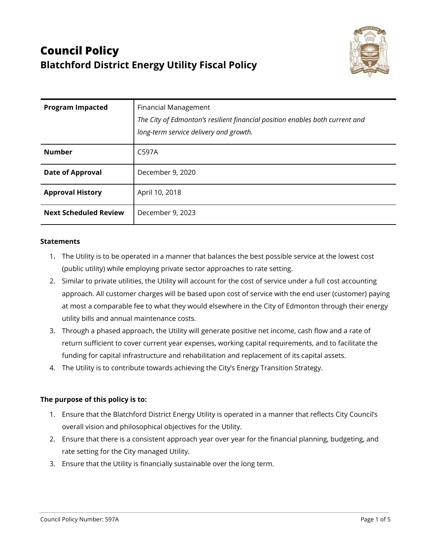

| <b>Program Impacted</b>      | <b>Financial Management</b><br>The City of Edmonton's resilient financial position enables both current and<br>long-term service delivery and growth. |
|------------------------------|-------------------------------------------------------------------------------------------------------------------------------------------------------|
| <b>Number</b>                | C597A                                                                                                                                                 |
| <b>Date of Approval</b>      | December 9, 2020                                                                                                                                      |
| <b>Approval History</b>      | April 10, 2018                                                                                                                                        |
| <b>Next Scheduled Review</b> | December 9, 2023                                                                                                                                      |

#### **Statements**

- 1. The Utility is to be operated in a manner that balances the best possible service at the lowest cost (public utility) while employing private sector approaches to rate setting.
- 2. Similar to private utilities, the Utility will account for the cost of service under a full cost accounting approach. All customer charges will be based upon cost of service with the end user (customer) paying at most a comparable fee to what they would elsewhere in the City of Edmonton through their energy utility bills and annual maintenance costs.
- 3. Through a phased approach, the Utility will generate positive net income, cash flow and a rate of return sufficient to cover current year expenses, working capital requirements, and to facilitate the funding for capital infrastructure and rehabilitation and replacement of its capital assets.
- 4. The Utility is to contribute towards achieving the City's Energy Transition Strategy.

## **The purpose of this policy is to:**

- 1. Ensure that the Blatchford District Energy Utility is operated in a manner that reflects City Council's overall vision and philosophical objectives for the Utility.
- 2. Ensure that there is a consistent approach year over year for the financial planning, budgeting, and rate setting for the City managed Utility.
- 3. Ensure that the Utility is financially sustainable over the long term.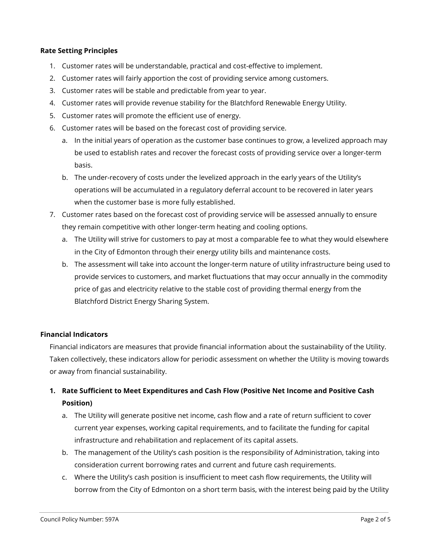#### **Rate Setting Principles**

- 1. Customer rates will be understandable, practical and cost-effective to implement.
- 2. Customer rates will fairly apportion the cost of providing service among customers.
- 3. Customer rates will be stable and predictable from year to year.
- 4. Customer rates will provide revenue stability for the Blatchford Renewable Energy Utility.
- 5. Customer rates will promote the efficient use of energy.
- 6. Customer rates will be based on the forecast cost of providing service.
	- a. In the initial years of operation as the customer base continues to grow, a levelized approach may be used to establish rates and recover the forecast costs of providing service over a longer-term basis.
	- b. The under-recovery of costs under the levelized approach in the early years of the Utility's operations will be accumulated in a regulatory deferral account to be recovered in later years when the customer base is more fully established.
- 7. Customer rates based on the forecast cost of providing service will be assessed annually to ensure they remain competitive with other longer-term heating and cooling options.
	- a. The Utility will strive for customers to pay at most a comparable fee to what they would elsewhere in the City of Edmonton through their energy utility bills and maintenance costs.
	- b. The assessment will take into account the longer-term nature of utility infrastructure being used to provide services to customers, and market fluctuations that may occur annually in the commodity price of gas and electricity relative to the stable cost of providing thermal energy from the Blatchford District Energy Sharing System.

## **Financial Indicators**

Financial indicators are measures that provide financial information about the sustainability of the Utility. Taken collectively, these indicators allow for periodic assessment on whether the Utility is moving towards or away from financial sustainability.

# **1. Rate Sufficient to Meet Expenditures and Cash Flow (Positive Net Income and Positive Cash Position)**

- a. The Utility will generate positive net income, cash flow and a rate of return sufficient to cover current year expenses, working capital requirements, and to facilitate the funding for capital infrastructure and rehabilitation and replacement of its capital assets.
- b. The management of the Utility's cash position is the responsibility of Administration, taking into consideration current borrowing rates and current and future cash requirements.
- c. Where the Utility's cash position is insufficient to meet cash flow requirements, the Utility will borrow from the City of Edmonton on a short term basis, with the interest being paid by the Utility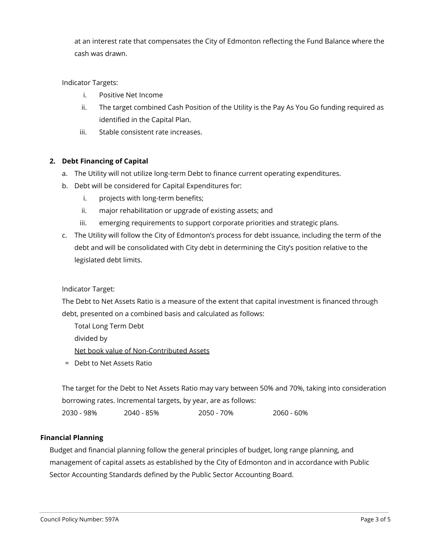at an interest rate that compensates the City of Edmonton reflecting the Fund Balance where the cash was drawn.

## Indicator Targets:

- i. Positive Net Income
- ii. The target combined Cash Position of the Utility is the Pay As You Go funding required as identified in the Capital Plan.
- iii. Stable consistent rate increases.

## **2. Debt Financing of Capital**

- a. The Utility will not utilize long-term Debt to finance current operating expenditures.
- b. Debt will be considered for Capital Expenditures for:
	- i. projects with long-term benefits;
	- ii. major rehabilitation or upgrade of existing assets; and
	- iii. emerging requirements to support corporate priorities and strategic plans.
- c. The Utility will follow the City of Edmonton's process for debt issuance, including the term of the debt and will be consolidated with City debt in determining the City's position relative to the legislated debt limits.

## Indicator Target:

The Debt to Net Assets Ratio is a measure of the extent that capital investment is financed through debt, presented on a combined basis and calculated as follows:

Total Long Term Debt divided by Net book value of Non-Contributed Assets

= Debt to Net Assets Ratio

The target for the Debt to Net Assets Ratio may vary between 50% and 70%, taking into consideration borrowing rates. Incremental targets, by year, are as follows:

2030 - 98% 2040 - 85% 2050 - 70% 2060 - 60%

## **Financial Planning**

Budget and financial planning follow the general principles of budget, long range planning, and management of capital assets as established by the City of Edmonton and in accordance with Public Sector Accounting Standards defined by the Public Sector Accounting Board.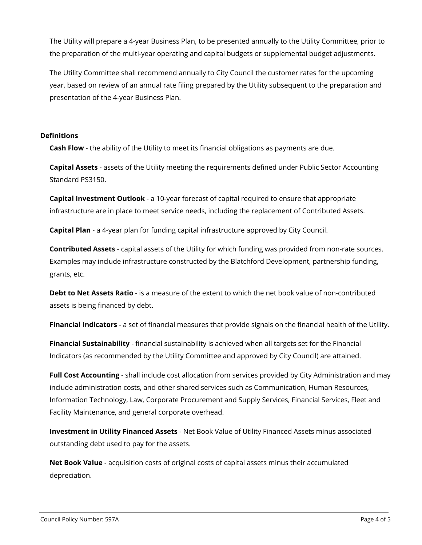The Utility will prepare a 4-year Business Plan, to be presented annually to the Utility Committee, prior to the preparation of the multi-year operating and capital budgets or supplemental budget adjustments.

The Utility Committee shall recommend annually to City Council the customer rates for the upcoming year, based on review of an annual rate filing prepared by the Utility subsequent to the preparation and presentation of the 4-year Business Plan.

#### **Definitions**

**Cash Flow** - the ability of the Utility to meet its financial obligations as payments are due.

**Capital Assets** - assets of the Utility meeting the requirements defined under Public Sector Accounting Standard PS3150.

**Capital Investment Outlook** - a 10-year forecast of capital required to ensure that appropriate infrastructure are in place to meet service needs, including the replacement of Contributed Assets.

**Capital Plan** - a 4-year plan for funding capital infrastructure approved by City Council.

**Contributed Assets** - capital assets of the Utility for which funding was provided from non-rate sources. Examples may include infrastructure constructed by the Blatchford Development, partnership funding, grants, etc.

**Debt to Net Assets Ratio** - is a measure of the extent to which the net book value of non-contributed assets is being financed by debt.

**Financial Indicators** - a set of financial measures that provide signals on the financial health of the Utility.

**Financial Sustainability** - financial sustainability is achieved when all targets set for the Financial Indicators (as recommended by the Utility Committee and approved by City Council) are attained.

**Full Cost Accounting** - shall include cost allocation from services provided by City Administration and may include administration costs, and other shared services such as Communication, Human Resources, Information Technology, Law, Corporate Procurement and Supply Services, Financial Services, Fleet and Facility Maintenance, and general corporate overhead.

**Investment in Utility Financed Assets** - Net Book Value of Utility Financed Assets minus associated outstanding debt used to pay for the assets.

**Net Book Value** - acquisition costs of original costs of capital assets minus their accumulated depreciation.